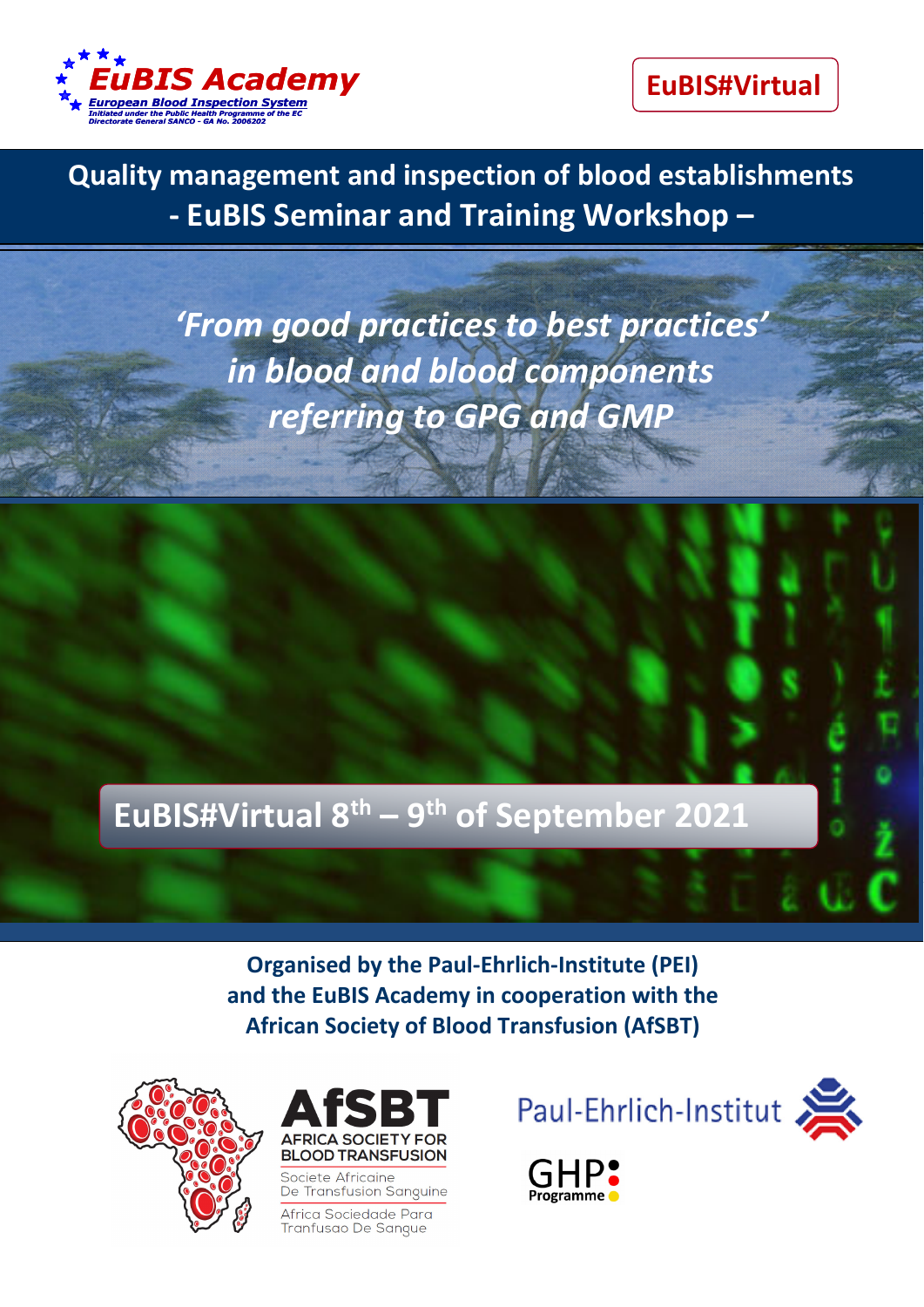

**EuBIS#Virtual**

 **Quality management and inspection of blood establishments ‐ EuBIS Seminar and Training Workshop –**

**Quality management and inspection of blood**  *'From good practices to best practices'* **establishments** *in blood and blood components referring to GPG and GMP*

*8‐10th of March 2017, NIHBT, Hanoi, Vietnam*

# **EuBIS#Virtual 8th – 9th of September 2021**

**Organised by the Paul‐Ehrlich‐Institute (PEI) and the EuBIS Academy in cooperation with the African Society of Blood Transfusion (AfSBT)** 





Societe Africaine De Transfusion Sanguine

Africa Sociedade Para Tranfusao De Sangue





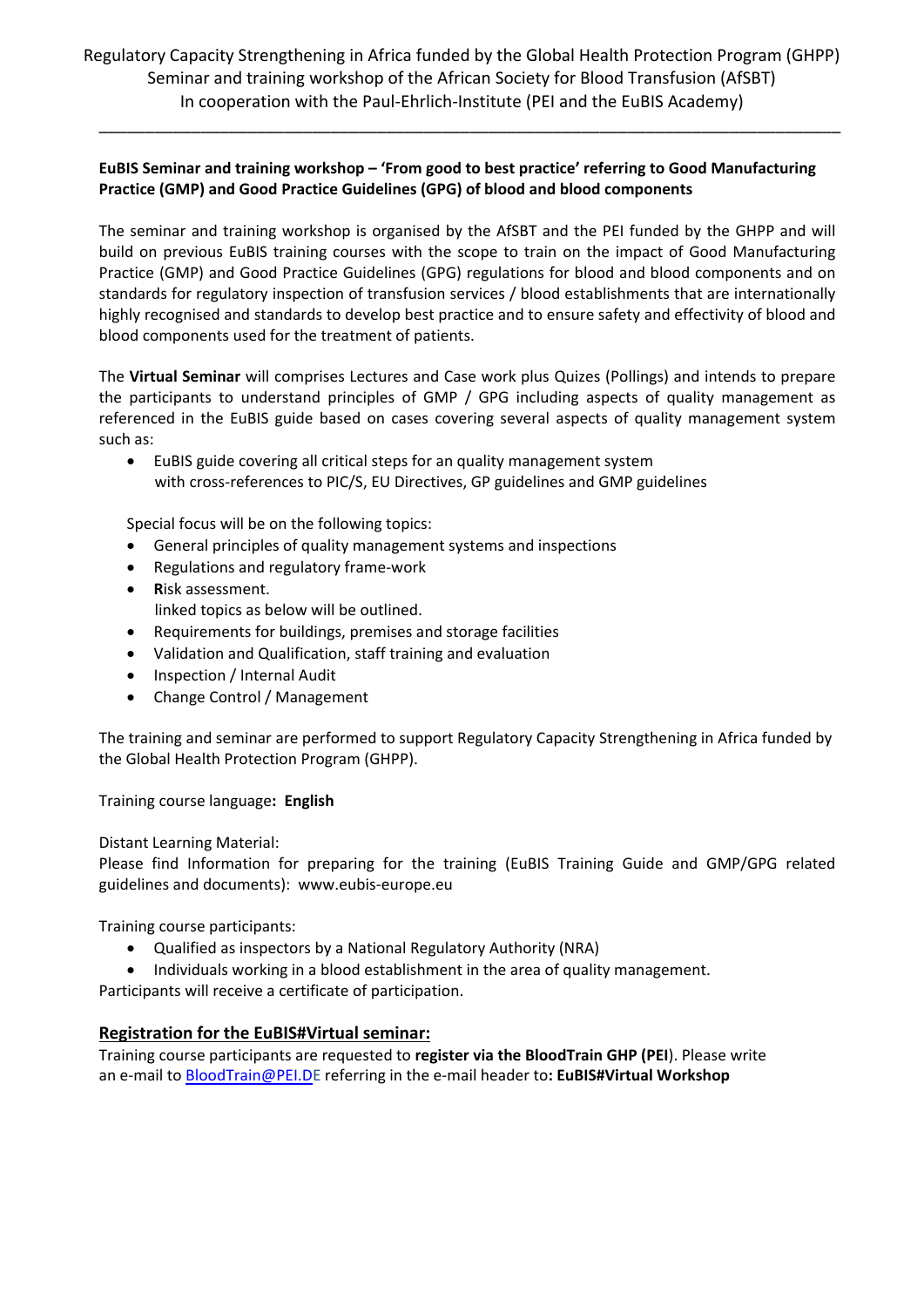\_\_\_\_\_\_\_\_\_\_\_\_\_\_\_\_\_\_\_\_\_\_\_\_\_\_\_\_\_\_\_\_\_\_\_\_\_\_\_\_\_\_\_\_\_\_\_\_\_\_\_\_\_\_\_\_\_\_\_\_\_\_\_\_\_\_\_\_\_\_\_\_\_\_\_\_\_\_\_\_

#### **EuBIS Seminar and training workshop – 'From good to best practice' referring to Good Manufacturing Practice (GMP) and Good Practice Guidelines (GPG) of blood and blood components**

The seminar and training workshop is organised by the AfSBT and the PEI funded by the GHPP and will build on previous EuBIS training courses with the scope to train on the impact of Good Manufacturing Practice (GMP) and Good Practice Guidelines (GPG) regulations for blood and blood components and on standards for regulatory inspection of transfusion services / blood establishments that are internationally highly recognised and standards to develop best practice and to ensure safety and effectivity of blood and blood components used for the treatment of patients.

The **Virtual Seminar** will comprises Lectures and Case work plus Quizes (Pollings) and intends to prepare the participants to understand principles of GMP / GPG including aspects of quality management as referenced in the EuBIS guide based on cases covering several aspects of quality management system such as:

 EuBIS guide covering all critical steps for an quality management system with cross-references to PIC/S, EU Directives, GP guidelines and GMP guidelines

Special focus will be on the following topics:

- General principles of quality management systems and inspections
- Regulations and regulatory frame-work
- **R**isk assessment. linked topics as below will be outlined.
- Requirements for buildings, premises and storage facilities
- Validation and Qualification, staff training and evaluation
- Inspection / Internal Audit
- Change Control / Management

The training and seminar are performed to support Regulatory Capacity Strengthening in Africa funded by the Global Health Protection Program (GHPP).

Training course language**: English**

Distant Learning Material:

Please find Information for preparing for the training (EuBIS Training Guide and GMP/GPG related guidelines and documents): www.eubis‐europe.eu

Training course participants:

- Qualified as inspectors by a National Regulatory Authority (NRA)
- Individuals working in a blood establishment in the area of quality management.

Participants will receive a certificate of participation.

#### **Registration for the EuBIS#Virtual seminar:**

Training course participants are requested to **register via the BloodTrain GHP (PEI**). Please write an e‐mail to BloodTrain@PEI.DE referring in the e‐mail header to**: EuBIS#Virtual Workshop**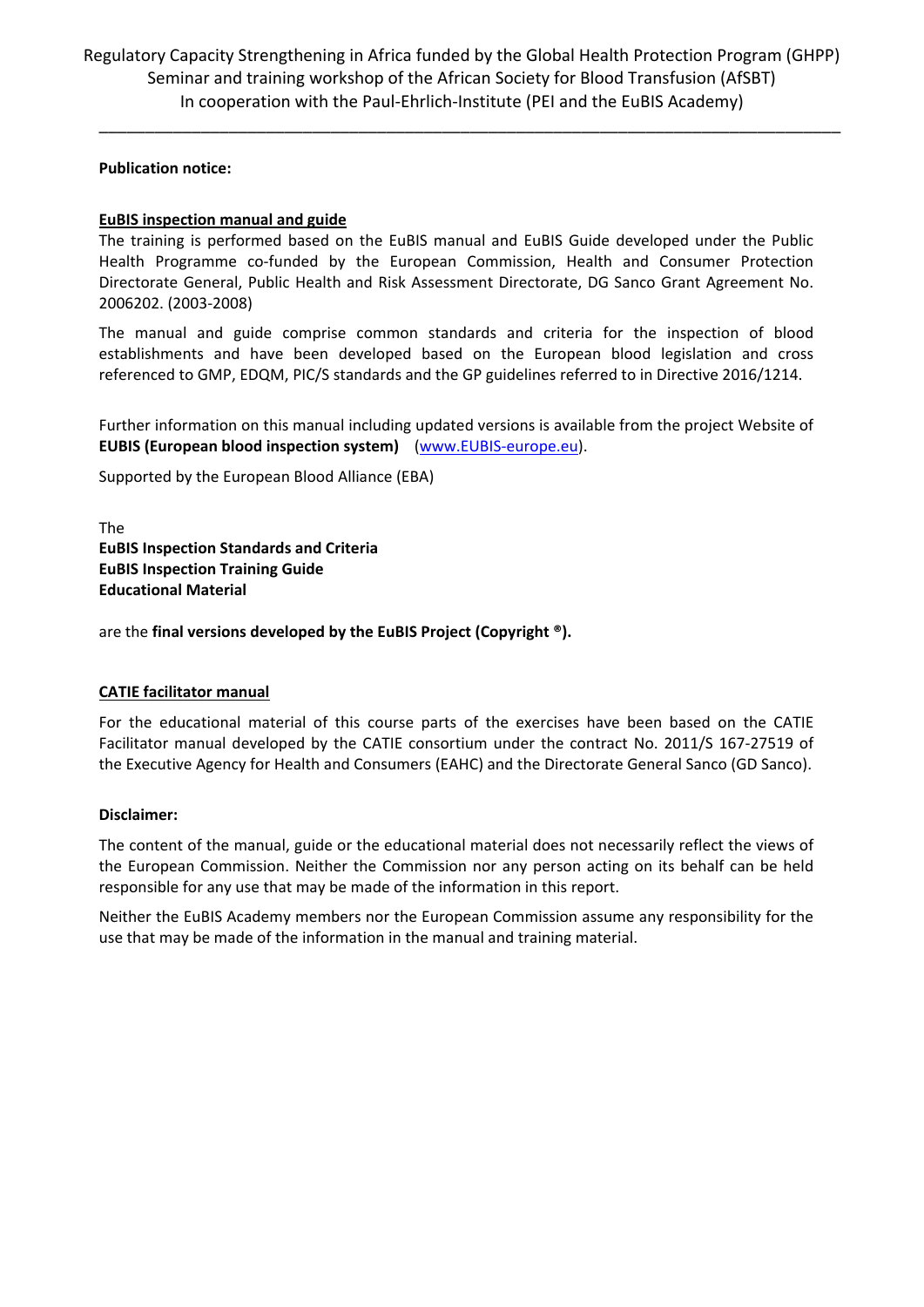\_\_\_\_\_\_\_\_\_\_\_\_\_\_\_\_\_\_\_\_\_\_\_\_\_\_\_\_\_\_\_\_\_\_\_\_\_\_\_\_\_\_\_\_\_\_\_\_\_\_\_\_\_\_\_\_\_\_\_\_\_\_\_\_\_\_\_\_\_\_\_\_\_\_\_\_\_\_\_\_

**Publication notice:**

#### **EuBIS inspection manual and guide**

The training is performed based on the EuBIS manual and EuBIS Guide developed under the Public Health Programme co-funded by the European Commission, Health and Consumer Protection Directorate General, Public Health and Risk Assessment Directorate, DG Sanco Grant Agreement No. 2006202. (2003‐2008)

The manual and guide comprise common standards and criteria for the inspection of blood establishments and have been developed based on the European blood legislation and cross referenced to GMP, EDQM, PIC/S standards and the GP guidelines referred to in Directive 2016/1214.

Further information on this manual including updated versions is available from the project Website of **EUBIS (European blood inspection system)** (www.EUBIS‐europe.eu).

Supported by the European Blood Alliance (EBA)

The **EuBIS Inspection Standards and Criteria EuBIS Inspection Training Guide Educational Material** 

are the **final versions developed by the EuBIS Project (Copyright ®).**

#### **CATIE facilitator manual**

For the educational material of this course parts of the exercises have been based on the CATIE Facilitator manual developed by the CATIE consortium under the contract No. 2011/S 167‐27519 of the Executive Agency for Health and Consumers (EAHC) and the Directorate General Sanco (GD Sanco).

#### **Disclaimer:**

The content of the manual, guide or the educational material does not necessarily reflect the views of the European Commission. Neither the Commission nor any person acting on its behalf can be held responsible for any use that may be made of the information in this report.

Neither the EuBIS Academy members nor the European Commission assume any responsibility for the use that may be made of the information in the manual and training material.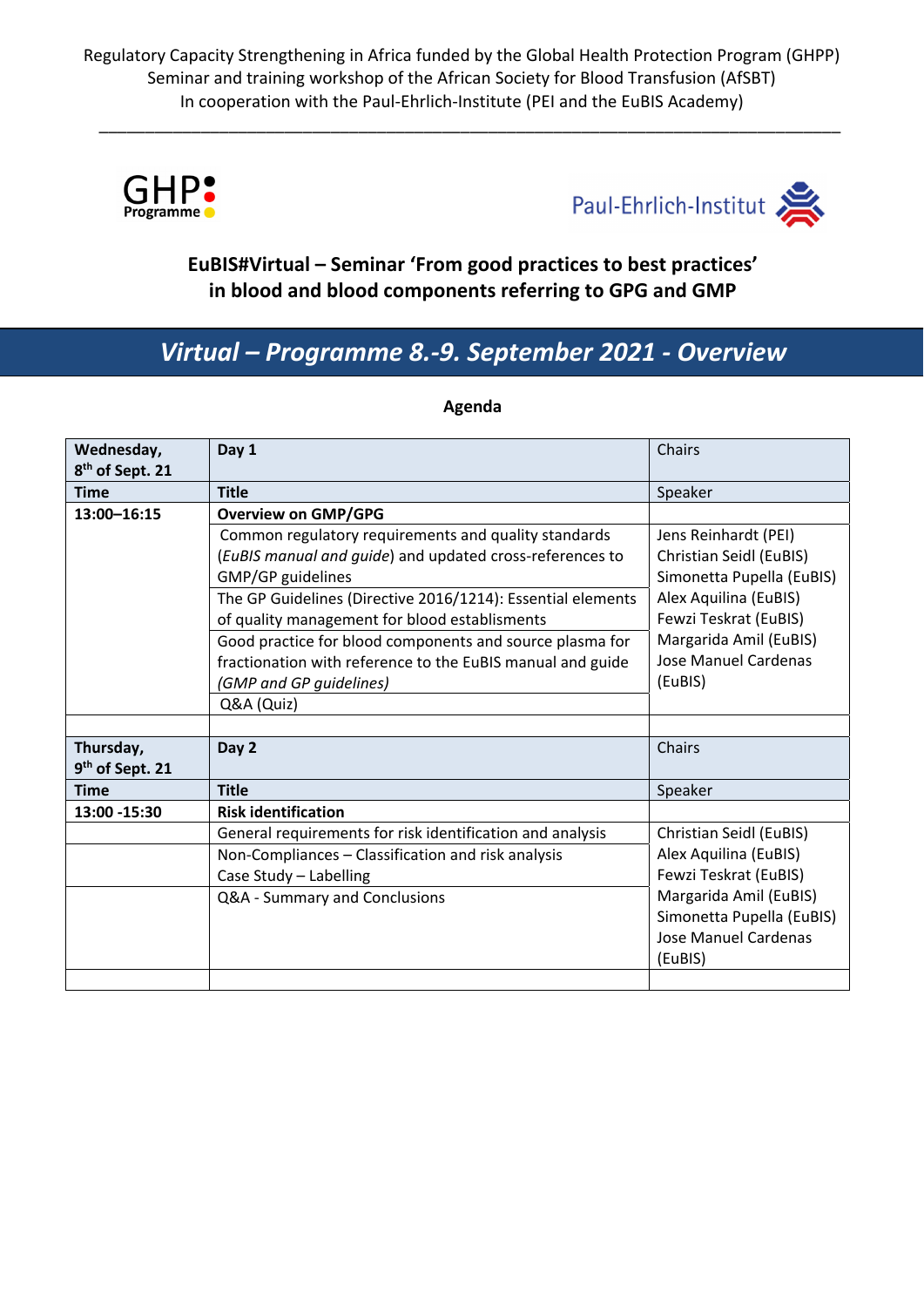\_\_\_\_\_\_\_\_\_\_\_\_\_\_\_\_\_\_\_\_\_\_\_\_\_\_\_\_\_\_\_\_\_\_\_\_\_\_\_\_\_\_\_\_\_\_\_\_\_\_\_\_\_\_\_\_\_\_\_\_\_\_\_\_\_\_\_\_\_\_\_\_\_\_\_\_\_\_\_\_





### **EuBIS#Virtual – Seminar 'From good practices to best practices' in blood and blood components referring to GPG and GMP**

## *Virtual – Programme 8.‐9. September 2021 ‐ Overview*

| Wednesday,                  | Day 1                                                       | Chairs                         |
|-----------------------------|-------------------------------------------------------------|--------------------------------|
| 8 <sup>th</sup> of Sept. 21 |                                                             |                                |
| <b>Time</b>                 | <b>Title</b>                                                | Speaker                        |
| 13:00-16:15                 | <b>Overview on GMP/GPG</b>                                  |                                |
|                             | Common regulatory requirements and quality standards        | Jens Reinhardt (PEI)           |
|                             | (EuBIS manual and guide) and updated cross-references to    | <b>Christian Seidl (EuBIS)</b> |
|                             | GMP/GP guidelines                                           | Simonetta Pupella (EuBIS)      |
|                             | The GP Guidelines (Directive 2016/1214): Essential elements | Alex Aquilina (EuBIS)          |
|                             | of quality management for blood establisments               | Fewzi Teskrat (EuBIS)          |
|                             | Good practice for blood components and source plasma for    | Margarida Amil (EuBIS)         |
|                             | fractionation with reference to the EuBIS manual and guide  | <b>Jose Manuel Cardenas</b>    |
|                             | (GMP and GP guidelines)                                     | (EuBIS)                        |
|                             | Q&A (Quiz)                                                  |                                |
|                             |                                                             |                                |
| Thursday,                   | Day 2                                                       | Chairs                         |
| 9 <sup>th</sup> of Sept. 21 |                                                             |                                |
| <b>Time</b>                 | <b>Title</b>                                                | Speaker                        |
| 13:00 - 15:30               | <b>Risk identification</b>                                  |                                |
|                             | General requirements for risk identification and analysis   | Christian Seidl (EuBIS)        |
|                             | Non-Compliances - Classification and risk analysis          | Alex Aquilina (EuBIS)          |
|                             | Case Study - Labelling                                      | Fewzi Teskrat (EuBIS)          |
|                             | Q&A - Summary and Conclusions                               | Margarida Amil (EuBIS)         |
|                             |                                                             | Simonetta Pupella (EuBIS)      |
|                             |                                                             | <b>Jose Manuel Cardenas</b>    |
|                             |                                                             | (EuBIS)                        |
|                             |                                                             |                                |

#### **Agenda**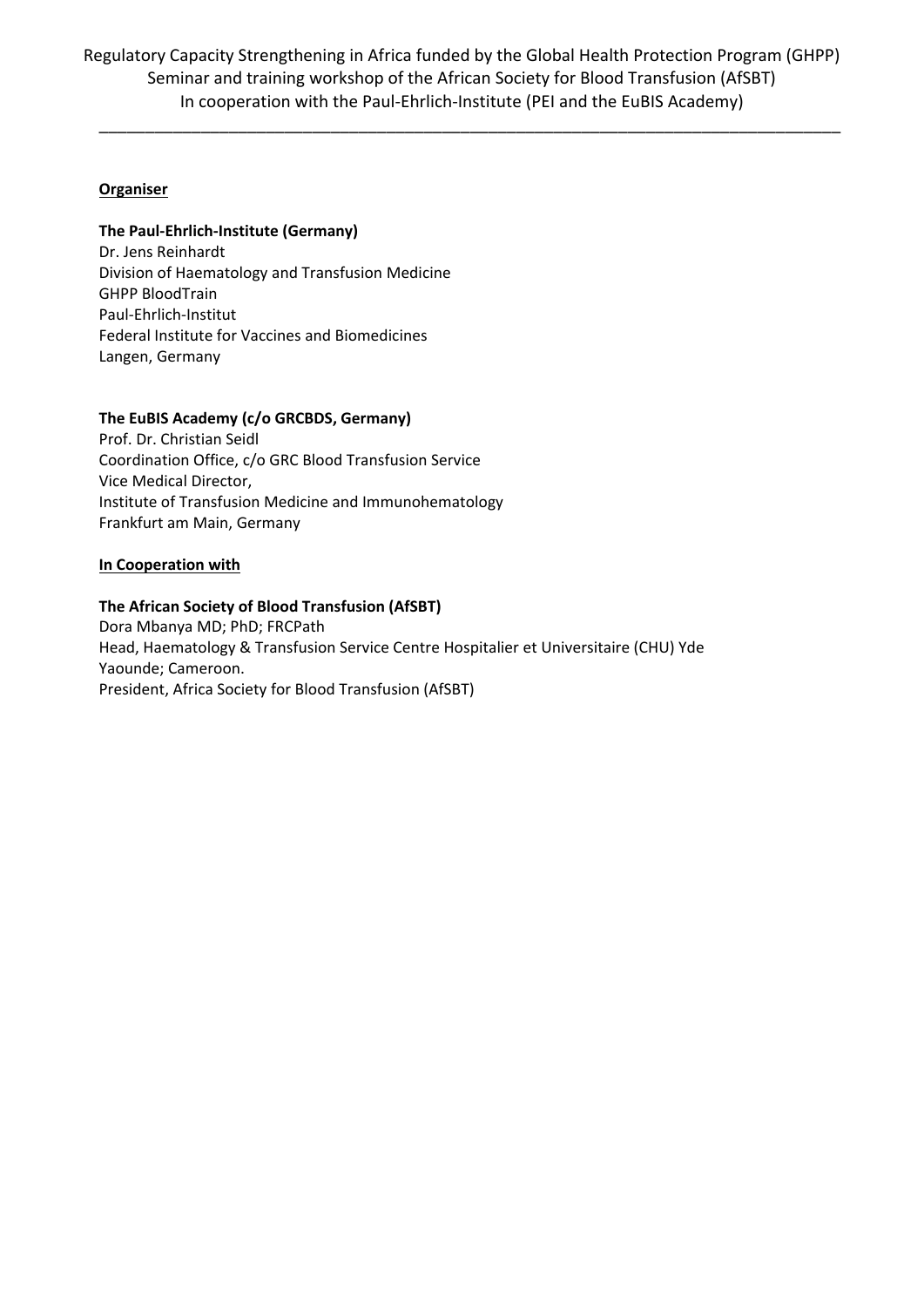\_\_\_\_\_\_\_\_\_\_\_\_\_\_\_\_\_\_\_\_\_\_\_\_\_\_\_\_\_\_\_\_\_\_\_\_\_\_\_\_\_\_\_\_\_\_\_\_\_\_\_\_\_\_\_\_\_\_\_\_\_\_\_\_\_\_\_\_\_\_\_\_\_\_\_\_\_\_\_\_

#### **Organiser**

#### **The Paul‐Ehrlich‐Institute (Germany)**

Dr. Jens Reinhardt Division of Haematology and Transfusion Medicine GHPP BloodTrain Paul‐Ehrlich‐Institut Federal Institute for Vaccines and Biomedicines Langen, Germany

#### **The EuBIS Academy (c/o GRCBDS, Germany)**

Prof. Dr. Christian Seidl Coordination Office, c/o GRC Blood Transfusion Service Vice Medical Director, Institute of Transfusion Medicine and Immunohematology Frankfurt am Main, Germany

#### **In Cooperation with**

#### **The African Society of Blood Transfusion (AfSBT)**

Dora Mbanya MD; PhD; FRCPath Head, Haematology & Transfusion Service Centre Hospitalier et Universitaire (CHU) Yde Yaounde; Cameroon. President, Africa Society for Blood Transfusion (AfSBT)